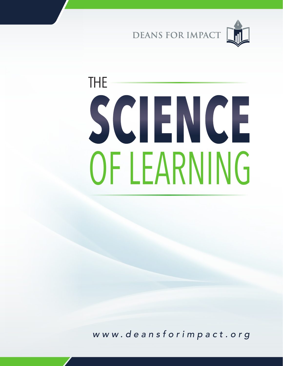DEANS FOR IMPACT

# OF LEARNING **SCIENCE** THE

*w w w . d e a n s f o r i m p a c t . o r g*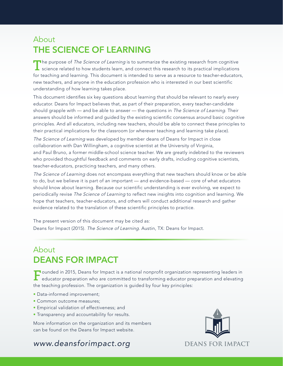### About THE SCIENCE OF LEARNING

The purpose of *The Science of Learning* is to summarize the existing research from cognitive<br>science related to how students learn, and connect this research to its practical implications for teaching and learning. This document is intended to serve as a resource to teacher-educators, new teachers, and anyone in the education profession who is interested in our best scientific understanding of how learning takes place.

This document identifes six key questions about learning that should be relevant to nearly every educator. Deans for Impact believes that, as part of their preparation, every teacher-candidate should grapple with — and be able to answer — the questions in *The Science of Learning*. Their answers should be informed and guided by the existing scientifc consensus around basic cognitive principles. And all educators, including new teachers, should be able to connect these principles to their practical implications for the classroom (or wherever teaching and learning take place).

*The Science of Learning* was developed by member deans of Deans for Impact in close collaboration with Dan Willingham, a cognitive scientist at the University of Virginia, and Paul Bruno, a former middle-school science teacher. We are greatly indebted to the reviewers who provided thoughtful feedback and comments on early drafts, including cognitive scientists, teacher-educators, practicing teachers, and many others.

*The Science of Learning* does not encompass everything that new teachers should know or be able to do, but we believe it is part of an important — and evidence-based — core of what educators should know about learning. Because our scientific understanding is ever evolving, we expect to periodically revise *The Science of Learning* to reflect new insights into cognition and learning. We hope that teachers, teacher-educators, and others will conduct additional research and gather evidence related to the translation of these scientific principles to practice.

The present version of this document may be cited as: Deans for Impact (2015). *The Science of Learning.* Austin, TX: Deans for Impact.

# About DEANS FOR IMPACT

**Founded in 2015, Deans for Impact is a national nonprofit organization representing leaders in**  $\blacksquare$  educator preparation who are committed to transforming educator preparation and elevating the teaching profession. The organization is guided by four key principles:

- Data-informed improvement;
- Common outcome measures;
- Empirical validation of effectiveness; and
- Transparency and accountability for results.

More information on the organization and its members can be found on the Deans for Impact website.

#### *www.deansforimpact.org*

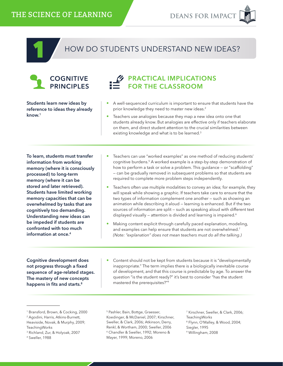## HOW DO STUDENTS UNDERSTAND NEW IDEAS?



#### PRACTICAL IMPLICATIONS FOR THE CLASSROOM

Students learn new ideas by reference to ideas they already know.<sup>1</sup>

• A well-sequenced curriculum is important to ensure that students have the prior knowledge they need to master new ideas.<sup>2</sup>

• Teachers use analogies because they map a new idea onto one that students already know. But analogies are effective only if teachers elaborate on them, and direct student attention to the crucial similarities between existing knowledge and what is to be learned.<sup>3</sup>

To learn, students must transfer information from working memory (where it is consciously processed) to long-term memory (where it can be stored and later retrieved). Students have limited working memory capacities that can be overwhelmed by tasks that are cognitively too demanding. Understanding new ideas can be impeded if students are confronted with too much information at once.4

- Teachers can use "worked examples" as one method of reducing students' cognitive burdens.<sup>5</sup> A worked example is a step-by-step demonstration of how to perform a task or solve a problem. This guidance - or "scaffolding" — can be gradually removed in subsequent problems so that students are required to complete more problem steps independently.
- Teachers often use multiple modalities to convey an idea; for example, they will speak while showing a graphic. If teachers take care to ensure that the two types of information complement one another — such as showing an animation while describing it aloud — learning is enhanced. But if the two sources of information are split — such as speaking aloud with different text displayed visually – attention is divided and learning is impaired.<sup>6</sup>
- Making content explicit through carefully paced explanation, modeling, and examples can help ensure that students are not overwhelmed.<sup>7</sup> *(Note: "explanation" does not mean teachers must do all the talking.)*

Cognitive development does not progress through a fixed sequence of age-related stages. The mastery of new concepts happens in fits and starts.<sup>8</sup>

• Content should not be kept from students because it is "developmentally inappropriate." The term implies there is a biologically inevitable course of development, and that this course is predictable by age. To answer the question "is the student ready?" it's best to consider "has the student mastered the prerequisites?"9

3 Richland, Zur, & Holyoak, 2007

5 Pashler, Bain, Bottge, Graesser, Koedinger, & McDaniel, 2007; Kirschner, Sweller, & Clark, 2006; Atkinson, Derry, Renkl, & Wortham, 2000; Sweller, 2006 6 Chandler & Sweller, 1992; Moreno & Mayer, 1999; Moreno, 2006

7 Kirschner, Sweller, & Clark, 2006; TeachingWorks 8 Flynn, O'Malley, & Wood, 2004; Siegler, 1995 9 Willingham, 2008

<sup>1</sup> Bransford, Brown, & Cocking, 2000

<sup>2</sup> Agodini, Harris, Atkins-Burnett,

Heaviside, Novak, & Murphy, 2009; TeachingWorks

<sup>4</sup> Sweller, 1988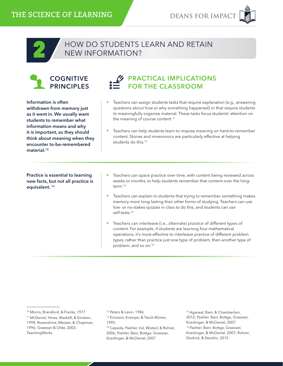#### HOW DO STUDENTS LEARN AND RETAIN NEW INFORMATION?



2

Information is often withdrawn from memory just as it went in. We usually want students to remember what information means and why it is important, so they should think about meaning when they encounter to-be-remembered material.<sup>10</sup>



- Teachers can assign students tasks that require explanation (e.g., answering questions about how or why something happened) or that require students to meaningfully organize material. These tasks focus students' attention on the meaning of course content.<sup>11</sup>
- Teachers can help students learn to impose meaning on hard-to-remember content. Stories and mnemonics are particularly effective at helping students do this.<sup>12</sup>

Practice is essential to learning new facts, but not all practice is equivalent.<sup>13</sup>

- Teachers can space practice over time, with content being reviewed across weeks or months, to help students remember that content over the longterm.<sup>14</sup>
- Teachers can explain to students that trying to remember something makes memory more long-lasting than other forms of studying. Teachers can use low- or no-stakes quizzes in class to do this, and students can use self-tests.15
- Teachers can interleave (i.e., alternate) practice of different types of content. For example, if students are learning four mathematical operations, it's more effective to interleave practice of different problem types, rather than practice just one type of problem, then another type of problem, and so on.16

15 Agarwal, Bain, & Chamberlain, 2012; Pashler, Bain, Bottge, Graesser, Koedinger, & McDaniel, 2007 <sup>16</sup> Pashler, Bain, Bottge, Graesser, Koedinger, & McDaniel, 2007; Rohrer, Dedrick, & Stershic, 2015

<sup>10</sup> Morris, Bransford, & Franks, 1977

<sup>11</sup> McDaniel, Hines, Waddill, & Einstein, 1994; Rosenshine, Meister, & Chapman,

<sup>1996;</sup> Graesser & Olde, 2003; TeachingWorks

<sup>&</sup>lt;sup>12</sup> Peters & Levin, 1986

<sup>13</sup> Ericsson, Krampe, & Tesch-Römer, 1993

<sup>14</sup> Cepeda, Pashler, Vul, Wixted, & Rohrer, 2006; Pashler, Bain, Bottge, Graesser, Koedinger, & McDaniel, 2007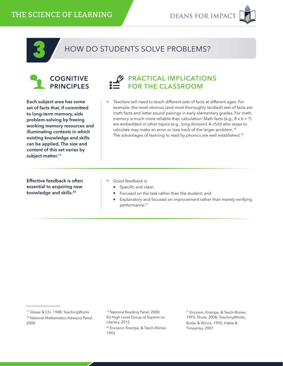

## HOW DO STUDENTS SOLVE PROBLEMS?



Each subject area has some set of facts that, if committed to long-term memory, aids problem-solving by freeing working memory resources and illuminating contexts in which existing knowledge and skills can be applied. The size and content of this set varies by subject matter.<sup>17</sup>



• Teachers will need to teach different sets of facts at different ages. For example, the most obvious (and most thoroughly studied) sets of facts are math facts and letter-sound pairings in early elementary grades. For math, memory is much more reliable than calculation. Math facts (e.g.,  $8 \times 6 = ?$ ) are embedded in other topics (e.g., long division). A child who stops to calculate may make an error or lose track of the larger problem.18 The advantages of learning to read by phonics are well established.<sup>19</sup>

Effective feedback is often essential to acquiring new knowledge and skills.20

- Good feedback is:
	- Specific and clear;
	- Focused on the task rather than the student; and
	- Explanatory and focused on improvement rather than merely verifying performance.<sup>21</sup>

21 Ericsson, Krampe, & Tesch-Römer, 1993; Shute, 2008; TeachingWorks; Butler & Winne, 1995; Hattie & Timperley, 2007

<sup>17</sup> Glaser & Chi, 1988; TeachingWorks

<sup>18</sup> National Mathematics Advisory Panel, 2008

<sup>19</sup> National Reading Panel, 2000; EU High Level Group of Experts on Literacy, 2012

<sup>20</sup> Ericsson, Krampe, & Tesch-Römer, 1993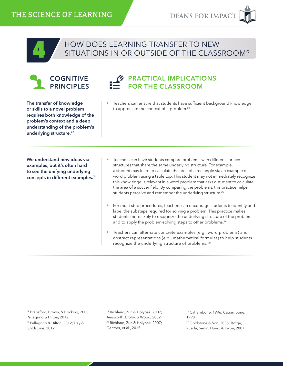

# HOW DOES LEARNING TRANSFER TO NEW<br>SITUATIONS IN OR OUTSIDE OF THE CLASSROOM?



#### PRACTICAL IMPLICATIONS FOR THE CLASSROOM

The transfer of knowledge or skills to a novel problem requires both knowledge of the problem's context and a deep understanding of the problem's underlying structure.<sup>22</sup>

We understand new ideas via examples, but it's often hard to see the unifying underlying concepts in different examples.24 • Teachers can ensure that students have sufficient background knowledge to appreciate the context of a problem.<sup>23</sup>

- Teachers can have students compare problems with different surface structures that share the same underlying structure. For example, a student may learn to calculate the area of a rectangle via an example of word problem using a table top. This student may not immediately recognize this knowledge is relevant in a word problem that asks a student to calculate the area of a soccer field. By comparing the problems, this practice helps students perceive and remember the underlying structure.25
- For multi-step procedures, teachers can encourage students to identify and label the substeps required for solving a problem. This practice makes students more likely to recognize the underlying structure of the problem and to apply the problem-solving steps to other problems.<sup>26</sup>
- Teachers can alternate concrete examples (e.g., word problems) and abstract representations (e.g., mathematical formulas) to help students recognize the underlying structure of problems. 27

22 Bransford, Brown, & Cocking, 2000; Pellegrino & Hilton, 2012

23 Pellegrino & Hilton, 2012; Day & Goldstone, 2012

24 Richland, Zur, & Holyoak, 2007; Ainsworth, Bibby, & Wood, 2002 25 Richland, Zur, & Holyoak, 2007; Gentner, et al., 2015

26 Catrambone, 1996; Catrambone, 1998 27 Goldstone & Son, 2005; Botge, Rueda, Serlin, Hung, & Kwon, 2007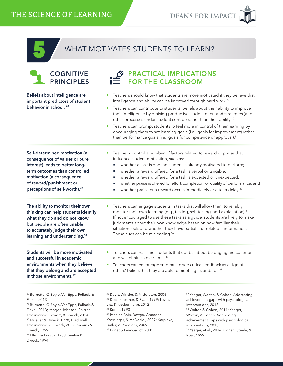39 Yeager, et al., 2014; Cohen, Steele, &

Ross, 1999

|--|

Dweck, 1999

Dweck, 1994

31 Elliott & Dweck, 1988; Smiley &

#### WHAT MOTIVATES STUDENTS TO LEARN?

| <b>COGNITIVE</b><br><b>PRINCIPLES</b>                                                                                                                                                                                                                                                                              | <b>PRACTICAL IMPLICATIONS</b><br><b>FOR THE CLASSROOM</b>                                                                                                                                                                                                                                                                                                                                                                                                                                                                                                                                                                                               |                                                                                                                                                                                                                                                                                                           |
|--------------------------------------------------------------------------------------------------------------------------------------------------------------------------------------------------------------------------------------------------------------------------------------------------------------------|---------------------------------------------------------------------------------------------------------------------------------------------------------------------------------------------------------------------------------------------------------------------------------------------------------------------------------------------------------------------------------------------------------------------------------------------------------------------------------------------------------------------------------------------------------------------------------------------------------------------------------------------------------|-----------------------------------------------------------------------------------------------------------------------------------------------------------------------------------------------------------------------------------------------------------------------------------------------------------|
| Beliefs about intelligence are<br>important predictors of student<br>behavior in school. <sup>28</sup>                                                                                                                                                                                                             | Teachers should know that students are more motivated if they believe that<br>intelligence and ability can be improved through hard work. <sup>29</sup><br>Teachers can contribute to students' beliefs about their ability to improve<br>their intelligence by praising productive student effort and strategies (and<br>other processes under student control) rather than their ability. <sup>30</sup><br>Teachers can prompt students to feel more in control of their learning by<br>encouraging them to set learning goals (i.e., goals for improvement) rather<br>than performance goals (i.e., goals for competence or approval). <sup>31</sup> |                                                                                                                                                                                                                                                                                                           |
| Self-determined motivation (a<br>consequence of values or pure<br>interest) leads to better long-<br>term outcomes than controlled<br>motivation (a consequence<br>of reward/punishment or<br>perceptions of self-worth). <sup>32</sup>                                                                            | Teachers control a number of factors related to reward or praise that<br>influence student motivation, such as:<br>п<br>whether a reward offered for a task is verbal or tangible;<br>ш<br>×,<br>ш                                                                                                                                                                                                                                                                                                                                                                                                                                                      | whether a task is one the student is already motivated to perform;<br>whether a reward offered for a task is expected or unexpected;<br>whether praise is offered for effort, completion, or quality of performance; and<br>whether praise or a reward occurs immediately or after a delay. <sup>33</sup> |
| The ability to monitor their own<br>thinking can help students identify<br>what they do and do not know,<br>but people are often unable<br>to accurately judge their own<br>learning and understanding. <sup>34</sup>                                                                                              | Teachers can engage students in tasks that will allow them to reliably<br>monitor their own learning (e.g., testing, self-testing, and explanation). <sup>35</sup><br>If not encouraged to use these tasks as a guide, students are likely to make<br>judgments about their own knowledge based on how familiar their<br>situation feels and whether they have partial - or related - information.<br>These cues can be misleading. <sup>36</sup>                                                                                                                                                                                                       |                                                                                                                                                                                                                                                                                                           |
| Students will be more motivated<br>and successful in academic<br>environments when they believe<br>that they belong and are accepted<br>in those environments. <sup>37</sup>                                                                                                                                       | Teachers can reassure students that doubts about belonging are common<br>and will diminish over time. <sup>38</sup><br>Teachers can encourage students to see critical feedback as a sign of<br>others' beliefs that they are able to meet high standards. <sup>39</sup>                                                                                                                                                                                                                                                                                                                                                                                |                                                                                                                                                                                                                                                                                                           |
| <sup>28</sup> Burnette, O'Boyle, VanEpps, Pollack, &<br><b>Finkel</b> , 2013<br><sup>29</sup> Burnette, O'Boyle, VanEpps, Pollack, &<br>Finkel, 2013; Yeager, Johnson, Spitzer,<br>Trzesniewski, Powers, & Dweck, 2014<br><sup>30</sup> Mueller & Dweck, 1998; Blackwell,<br>Trzesniewski, & Dweck, 2007; Kamins & | <sup>32</sup> Davis, Winsler, & Middleton, 2006<br><sup>33</sup> Deci, Koestner, & Ryan, 1999; Levitt,<br>List, & Neckermann, 2012<br><sup>34</sup> Koriat, 1993<br><sup>35</sup> Pashler, Bain, Bottge, Graesser,<br>Koedinger, & McDaniel, 2007; Karpicke,<br>Butler, & Roediger, 2009                                                                                                                                                                                                                                                                                                                                                                | <sup>37</sup> Yeager, Walton, & Cohen, Addressing<br>achievement gaps with psychological<br>interventions, 2013<br><sup>38</sup> Walton & Cohen, 2011; Yeager,<br>Walton, & Cohen, Addressing<br>achievement gaps with psychological<br>interventions, 2013                                               |

36 Koriat & Levy-Sadot, 2001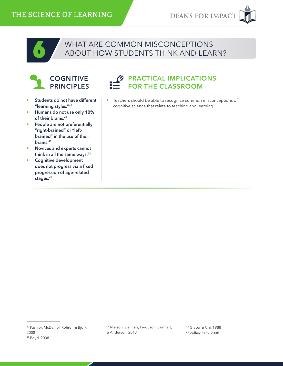

# WHAT ARE COMMON MISCONCEPTIONS<br>ABOUT HOW STUDENTS THINK AND LEARN?



- Students do not have different "learning styles."40
- Humans do not use only 10% of their brains.<sup>41</sup>
- People are not preferentially "right-brained" or "leftbrained" in the use of their brains.42
- Novices and experts cannot think in all the same ways.<sup>43</sup>
- Cognitive development does not progress via a fixed progression of age-related stages.<sup>44</sup>



• Teachers should be able to recognize common misconceptions of cognitive science that relate to teaching and learning.

<sup>40</sup> Pashler, McDaniel, Rohrer, & Bjork, 2008 41 Boyd, 2008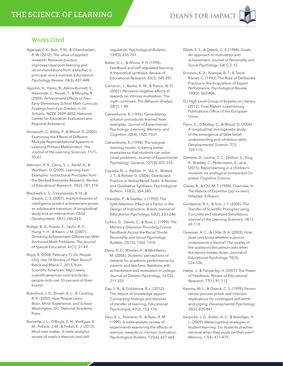# **DEANS FOR IMPACT**

#### Works Cited

- Agarwal, P. K., Bain, P. M., & Chamberlain, R. W. (2012). The value of applied research: Retrieval practice improves classroom learning and recommendations from a teacher, a principal, and a scientist. *Educational Psychology Review*, 24(3), 437-448.
- Agodini, R., Harris, B., Atkins-Burnett, S., Heaviside, S., Novak, T., & Murphy, R. (2009). *Achievement Effects of Four Early Elementary School Math Curricula: Findings from First Graders in 39 Schools.* NCEE 2009-4052. National Center for Education Evaluation and Regional Assistance.
- Ainsworth, S., Bibby, P., & Wood, D. (2002). Examining the Effects of Different Multiple Representational Systems in Learning Primary Mathematics. *The Journal of the Learning Sciences*, 11(1), 25-61.
- Atkinson, R. K., Derry, S. J., Renkl, A., & Wortham, D. (2000). Learning from Examples: Instructional Principles from the Worked Examples Research. *Review of Educational Research*, 70(2), 181-214.
- Blackwell, L. S., Trzesniewski, K. H., & Dweck, C. S. (2007). Implicit theories of intelligence predict achievement across an adolescent transition: A longitudinal study and an intervention. *Child Development*, 78(1), 246-263.
- Bottge, B. A., Rueda, E., Serlin, R. C., Hung, Y.-H., & Kwon, J. M. (2007). Shrinking Achievement Differences With Anchored Math Problems. *The Journal of Special Education*, 41(1), 31-49.
- Boyd, R. (2008, February 7). *Do People Only Use 10 Percent of Their Brains?* Retrieved March 7, 2015, from Scientific American: http://www. scientificamerican.com/article/dopeople-only-use-10-percent-of-theirbrains/
- Bransford, J. D., Brown, A. L., & Cocking, R. R. (2000). *How People Learn: Brain, Mind, Experience, and School.* Washington, DC: National Academy Press.
- Burnette, J. L., O'Boyle, E. H., VanEpps, E. M., Pollack, J. M., & Finkel, E. J. (2013). Mind-sets matter: A meta-analytics review of implicit theories and self-

regulation. *Psychological Bulletin*, 139(3), 655-701.

- Butler, D. L., & Winne, P. H. (1995). Feedback and self-regulated learning: A theoretical synthesis. *Review of Educational Research*, 65(3), 245-281.
- Cameron, J., Banko, K. M., & Pierce, W. D. (2001). Pervasive negative effects of rewards on intrinsic motivation: The myth continues. *The Behavior Analyst*, 24(1), 1-44.
- Catrambone, R. (1996). Generalizing solution procedures learned from examples. *Journal of Experimental Psychology: Learning, Memory, and Cognition*, 22(4), 1020-1031.
- Catrambone, R. (1998). The subgoal learning model: Creating better examples so that students can solve novel problems. *Journal of Experimental Psychology: General*, 127(4), 355-376.
- Cepeda, N. J., Pashler, H., Vul, E., Wixted, J. T., & Rohrer, D. (2006). Distributed Practice in Verbal Recall Tasks: A Review and Qualitative Synthesis. *Psychological Bulletin*, 132(3), 354-380.
- Chandler, P., & Sweller, J. (1992). The Split-Attention Effect as a Factor in the Design of Instruction. *British Journal of Educational Psychology*, 62(2), 233-246.
- Cohen, G., Steele, C., & Ross, L. (1999). The Mentor's Dilemma: Providing Critical Feedback Across the Racial Divide. *Personality and Social Psychology Bulletin*, 25(10), 1302-1318.
- Davis, K. D., Winsler, A., & Middleton, M. (2006). Students' perceptions of rewards for academic performance by parents and teachers: Relations with achievement and motivation in college. *Journal of Genetic Psychology*, 167(2), 211-220.
- Day, S. B., & Goldstone, R. L. (2012). The import of knowledge export: Connecting findings and theories of transfer of learning. *Educational Psychologist*, 47(3), 153-176.
- Deci, E. L., Koestner, R., & Ryan, R. M. (1999). A meta-analytic review of experiments examining the effects of extrinsic rewards on intrinsic motivation. *Psychological Bulletin*, 125(6), 627-668.
- Elliott, E. S., & Dweck, C. S. (1988). Goals: An approach to motivation and achievement. *Journal of Personality and Social Psychology*, 54(1), 5-12.
- Ericsson, K. A., Krampe, R. T., & Tesch-Römer, C. (1993). The Role of Deliberate Practice in the Acquisition of Expert Performance. *Psychological Review*, 100(3), 363-406.
- EU High Level Group of Experts on Literacy. (2012). *Final Report.* Luxembourg: Publications Office of the European Union.
- Flynn, E., O'Malley, C., & Wood, D. (2004). A longitudinal, microgenetic study of the emergence of false belief understanding and inhibition skills. *Developmental Science*, 7(1), 103-115.
- Gentner, D., Levine, S. C., Dhillon, S., Ping, R., Bradley, C., Poltermann, A., et al. (2015). Rapid learning in a children's museum via analogical comparison [in press]. *Cognitive Science.*
- Glaser, R., & Chi, M. T. (1988). Overview. *In The Nature of Expertise* (pp. xv-xxvii). Hillsdale: Erlbaum.
- Goldstone, R. L., & Son, J. Y. (2005). The Transfer of Scientific Principles using Concrete and Idealized Simulations. *Journal of the Learning Sciences*, 14(1), 69-110.
- Graesser, A. C., & Olde, B. A. (2003). How does one know whether a person understands a device? The quality of the questions the person asks when the device breaks down. *Journal of Educational Psychology*, 95(3), 524-536.
- Hattie, J., & Timperley, H. (2007). The Power of Feedback. *Review of Educational Research*, 77(1), 81-112.
- Kamins, M. L., & Dweck, C. S. (1999). Person versus process praise and criticism: implications for contingent self-worth and coping. *Developmental Psychology*, 35(3), 835-847.
- Karpicke, J. D., Butler, A. C., & Roediger, H. L. (2009). Metacognitive strategies in student learning: Do students practise retrieval when they study on their own? *Memory*, 17(4), 471-479.